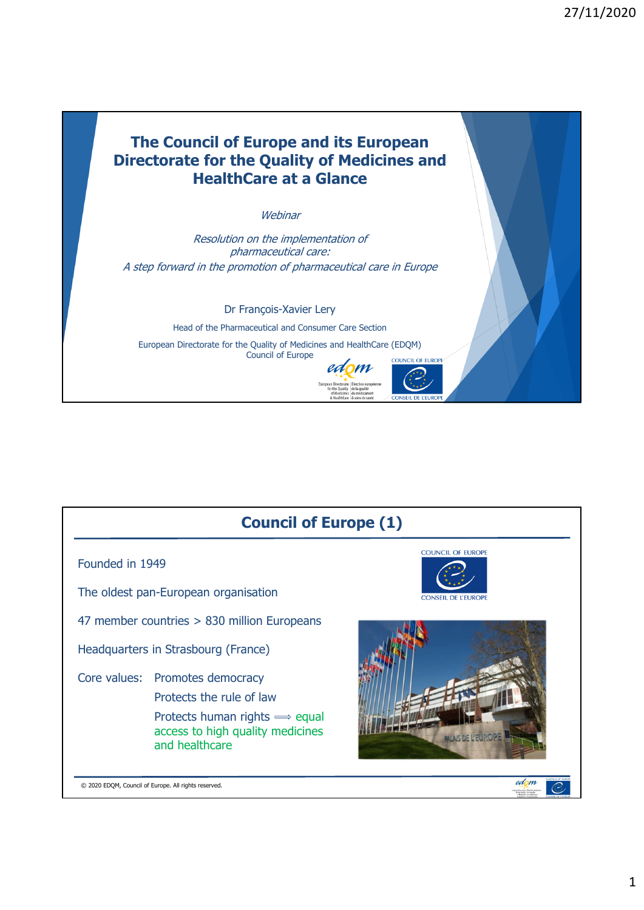



1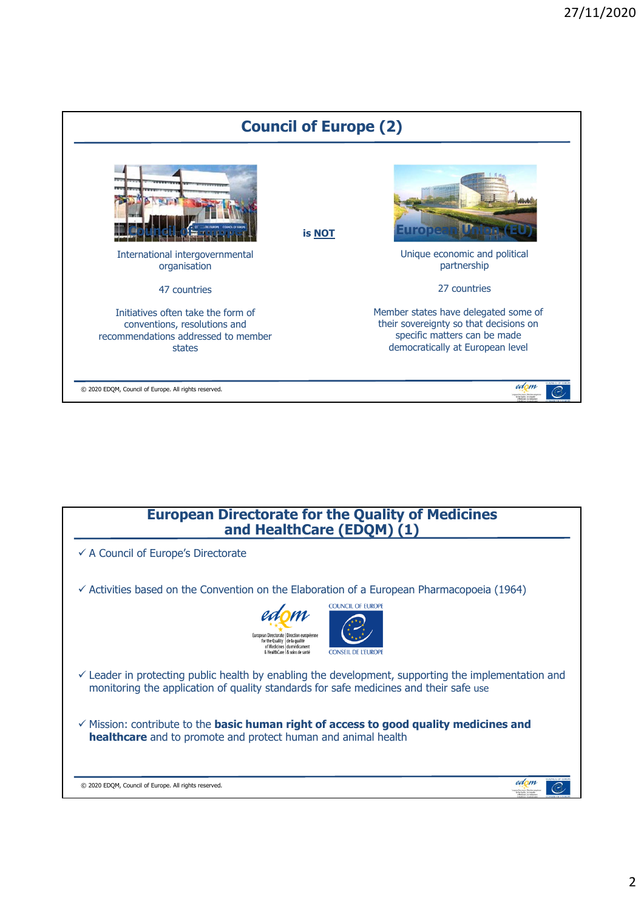

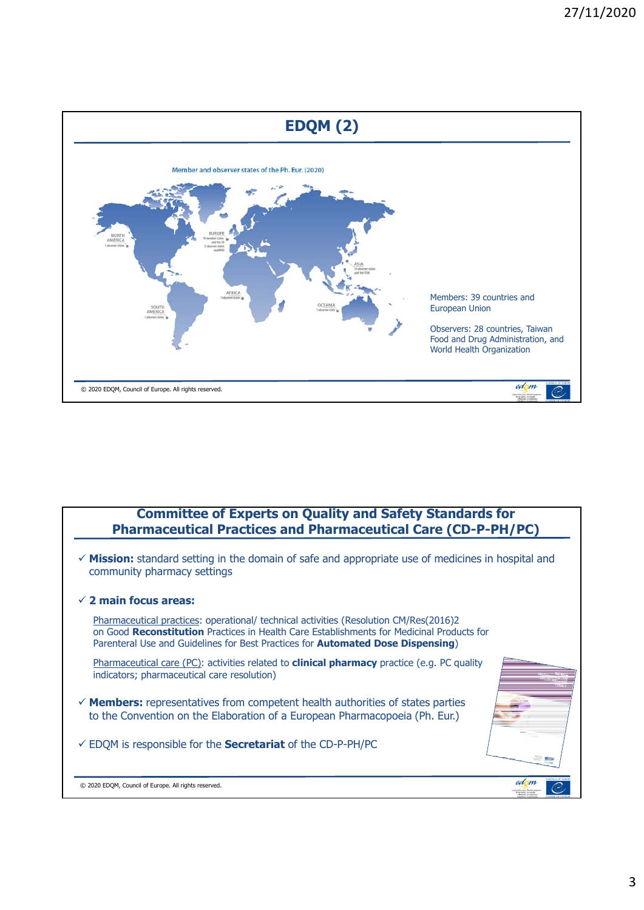

## **Committee of Experts on Quality and Safety Standards for Pharmaceutical Practices and Pharmaceutical Care (CD-P-PH/PC)**

 **Mission:** standard setting in the domain of safe and appropriate use of medicines in hospital and community pharmacy settings **2 main focus areas:** Pharmaceutical practices: operational/ technical activities (Resolution CM/Res(2016)2 on Good **Reconstitution** Practices in Health Care Establishments for Medicinal Products for Parenteral Use and Guidelines for Best Practices for **Automated Dose Dispensing**) Pharmaceutical care (PC): activities related to **clinical pharmacy** practice (e.g. PC quality indicators; pharmaceutical care resolution) **Members:** representatives from competent health authorities of states parties to the Convention on the Elaboration of a European Pharmacopoeia (Ph. Eur.) EDQM is responsible for the **Secretariat** of the CD-P-PH/PCedom © 2020 EDQM, Council of Europe. All rights reserved.